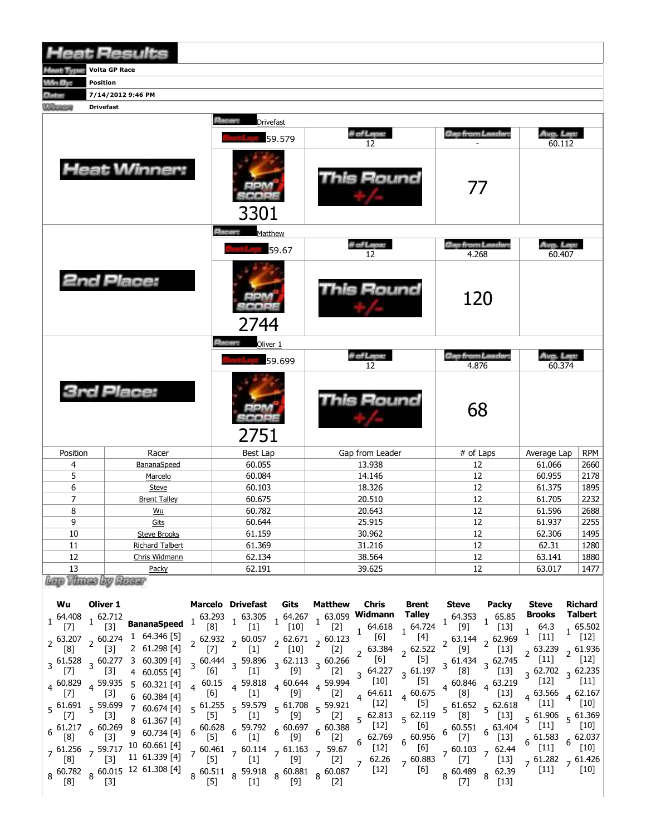|                               | <b>Heat Results</b>                  |                                     |                   |                                  |                     |            |
|-------------------------------|--------------------------------------|-------------------------------------|-------------------|----------------------------------|---------------------|------------|
|                               | <b>Limited Tagging Volta GP Race</b> |                                     |                   |                                  |                     |            |
| <b>Million Blues</b>          | Position                             |                                     |                   |                                  |                     |            |
| <b>Address</b>                | 7/14/2012 9:46 PM                    |                                     |                   |                                  |                     |            |
| <b><i><u>COLORINA</u></i></b> | <b>Drivefast</b>                     |                                     |                   |                                  |                     |            |
|                               |                                      | <b>Electric</b><br><b>Drivefast</b> |                   |                                  |                     |            |
|                               |                                      | 59.579                              | # of Lape<br>12   | Gao from Lander:                 | Avg. Lep:<br>60.112 |            |
|                               | <b>Heat Winner:</b>                  | 3301                                | <b>This Round</b> | 77                               |                     |            |
|                               |                                      | <b>Ritains</b><br>Matthew           |                   |                                  |                     |            |
|                               |                                      | 59.67                               | il of Lapur<br>12 | Geo from Leader.<br>4.268        | Avg. Lep.<br>60.407 |            |
|                               | <b>2nd Place:</b>                    | 2744                                | <b>This Round</b> | 120                              |                     |            |
|                               |                                      | <b>Balleting</b><br>Oliver 1        |                   |                                  |                     |            |
|                               |                                      | 59.699                              | il of Lapus<br>12 | <b>Gap from Landard</b><br>4.876 | Avg. Lep:<br>60.374 |            |
|                               | <b>3rd Place:</b>                    | 2751                                | Round             | 68                               |                     |            |
| Position                      | Racer                                | Best Lap                            | Gap from Leader   | # of Laps                        | Average Lap         | <b>RPM</b> |
| $\overline{4}$                | BananaSpeed                          | 60.055                              | 13.938            | 12                               | 61.066              | 2660       |
| 5                             | Marcelo                              | 60.084                              | 14.146            | 12                               | 60.955              | 2178       |
| 6                             | Steve                                | 60.103                              | 18.326            | 12                               | 61.375              | 1895       |
| $\overline{7}$                | <b>Brent Talley</b>                  | 60.675                              | 20.510            | 12                               | 61.705              | 2232       |
| 8                             | Wu                                   | 60.782                              | 20.643            | 12                               | 61.596              | 2688       |
| 9                             | Gits                                 | 60.644                              | 25.915            | 12                               | 61.937              | 2255       |
| 10                            | <b>Steve Brooks</b>                  | 61.159                              | 30.962            | 12                               | 62.306              | 1495       |
| 11                            | <b>Richard Talbert</b>               | 61.369                              | 31.216            | 12                               | 62.31               | 1280       |
| 12                            | Chris Widmann                        | 62.134                              | 38.564            | 12                               | 63.141              | 1880       |
| 13                            | Packy                                | 62.191                              | 39.625            | 12                               | 63.017              | 1477       |

| Wu                                | Oliver 1                           |                                                                                                                                                                                                                                                                                                  |                                                                     | Marcelo Drivefast                                                                 | Gits                               | Matthew | Chris                                                                                                                                                                                                                                                                                                                                                                                            | Brent               | Steve                         | Packy                                                             | <b>Steve</b>                                                    | <b>Richard</b>                                                        |
|-----------------------------------|------------------------------------|--------------------------------------------------------------------------------------------------------------------------------------------------------------------------------------------------------------------------------------------------------------------------------------------------|---------------------------------------------------------------------|-----------------------------------------------------------------------------------|------------------------------------|---------|--------------------------------------------------------------------------------------------------------------------------------------------------------------------------------------------------------------------------------------------------------------------------------------------------------------------------------------------------------------------------------------------------|---------------------|-------------------------------|-------------------------------------------------------------------|-----------------------------------------------------------------|-----------------------------------------------------------------------|
| $1^{64.408}$<br>$\lceil 7 \rceil$ | .62.712                            | <b>BananaSpeed</b>                                                                                                                                                                                                                                                                               |                                                                     |                                                                                   |                                    | [2]     | $1\quad 63.293$ $1\quad 63.305$ $1\quad 64.267$ $1\quad 63.059$ <b>Widmann Talley</b><br>[8] $1\quad 1\quad 10$ ] $1\quad 12$ ] $1\quad 64.618$ $1\quad 64.724$<br>$1 \t 64.618 \t 1 \t 64.724$                                                                                                                                                                                                  |                     | 64.353<br>[9]                 | 65.85<br>$[13]$                                                   | Brooks                                                          | Talbert                                                               |
| $2^{63.207}$<br>[8]               | , 60.274<br>$\lceil 3 \rceil$      | 1 64.346 [5]<br>2 61.298 [4]                                                                                                                                                                                                                                                                     | $\begin{bmatrix} 7 \end{bmatrix}$ $\begin{bmatrix} 2 \end{bmatrix}$ | $[1]$                                                                             | $\begin{bmatrix} 10 \end{bmatrix}$ | [2]     | 2 $\frac{62.932}{571}$ 2 $\frac{60.057}{511}$ 2 $\frac{62.671}{5101}$ 2 $\frac{60.123}{500}$ $\frac{1}{100}$<br>$2^{63.384}$                                                                                                                                                                                                                                                                     | [4]<br>$2^{62.522}$ | [9]                           | $2^{63.144}$ $2^{62.969}$<br>$[13]$                               | $[11]$<br>, 63.239                                              |                                                                       |
| 171                               | $3\,61.528\quad3\,60.277$<br>$[3]$ | 3 60.309 [4]<br>4 60.055 [4]                                                                                                                                                                                                                                                                     | [6]                                                                 | $\left[1\right]$                                                                  | [9]                                |         | $3\begin{array}{ccccc} 3 & 60.444 & 3 & 59.896 & 3 & 62.113 & 3 & 60.266 & 5 & 6 \end{array}$ [5]<br>$[2]$ 3 64.227 3 61.197 $[8]$                                                                                                                                                                                                                                                               |                     | $3\,61.434$                   | 3 62.745<br>$[13]$                                                | $[11]$                                                          | [12]                                                                  |
| $4\,60.829$<br>$[7]$              | 4 59.935<br>$[3]$                  | 5 60.321 [4] 4 60.15 4 59.818 4 60.644 4 59.994 $^3$ [10] $^3$ [5] 4 60.846<br>6 60.384 [4] [6] $\begin{bmatrix} 6 \end{bmatrix}$ [1] 4 $\begin{bmatrix} 9 \end{bmatrix}$ 4 59.994 $^3$ [10] $^3$ [5] 4 60.846<br>6 60.384 [4] [6] [1] $\begin{bmatrix} 6 \end{bmatrix}$ [2] $\begin{bmatrix} 2$ |                                                                     |                                                                                   |                                    |         |                                                                                                                                                                                                                                                                                                                                                                                                  |                     |                               | $4\begin{array}{l}60.846\\ 4\end{array}$ 4 63.219<br>$[13]$       | $[12]$<br>4 63.566                                              | $[11]$                                                                |
| $5\frac{61.691}{5}$               | 5 59.699                           | 7 60.674 [4]<br>8 61.367 [4]                                                                                                                                                                                                                                                                     | [5]                                                                 | $[1]$                                                                             | [9]                                | [2]     | $5\begin{array}{ccccc} 61.255 & 59.579 & 5\end{array}$ $5\begin{array}{ccccc} 61.708 & 5\begin{array}{ccccc} 59.921 & 1\end{array} & [12] & ^{4} & [5] \\ 15\begin{array}{ccccc} 55 & 11 & 5\end{array} & [12] & [12] & [12] \\ 16\begin{array}{ccccc} 62.625 & 11.11 & 1\end{array} & [12] & [12] & [12] \\ 17\begin{array}{ccccc} 11 & 11 & 1\end{array} & [12] & [12] &$<br>$5\text{ }62.813$ | $5^{62.119}$        | [8]                           | $5\frac{61.652}{5}$ 5 62.618<br>$[13]$                            | $5^{61.906}$                                                    | $\begin{bmatrix} 11 \end{bmatrix}$ $\begin{bmatrix} 10 \end{bmatrix}$ |
| $6\frac{61.217}{100}$<br>[8]      | $6\frac{60.269}{52}$               | 9 60.734 [4]                                                                                                                                                                                                                                                                                     | [5]                                                                 | $[1]$                                                                             | [9]                                | [2]     | $6\frac{60.628}{5}$ $6\frac{59.792}{5}$ $6\frac{60.697}{5}$ $6\frac{60.388}{5}$ $\left[\frac{12}{5}\right]$<br>$6^{62.769}$                                                                                                                                                                                                                                                                      | [6]<br>60.956       | [7]                           | $6\substack{60.551\\ -21}$ $6\substack{63.404\\ -22.5}$<br>$[13]$ | $[11]$<br>$6^{61.583}$                                          | $[10]$                                                                |
| [8]                               | $\sqrt{3}$                         | $7^{61.256}$ $7^{59.717}$ 10 60.661 [4]<br>11 61.339 [4]                                                                                                                                                                                                                                         | [5]                                                                 | $7\substack{60.461\\52.14}$ 7 60.114 $7\substack{61.163\\52.14}$ 7 59.67<br>$[1]$ | [9]                                |         | $[12]$<br>$[2]$ 7 62.26                                                                                                                                                                                                                                                                                                                                                                          | [6]<br>$7^{60.883}$ | $7\frac{60.103}{57}$ 7<br>[7] | 62.44<br>$[13]$                                                   | $\begin{bmatrix} 11 \end{bmatrix}$<br>$7^{61.282}$ $7^{61.426}$ | $[10]$                                                                |
| [8]                               |                                    | $8\begin{array}{l}60.782\\60.782\end{array}$ 8 60.015 12 61.308 [4]                                                                                                                                                                                                                              |                                                                     |                                                                                   | [9]                                |         | $8\substack{60.511\\5.11}$ $8\substack{59.918\\5.13}$ $8\substack{60.881\\5.13}$ $8\substack{60.087\\5.13}$ $(12)$                                                                                                                                                                                                                                                                               | $\left(6\right]$    | $8^{60.489}$                  | 62.39<br>[13]                                                     | [11]                                                            | $[10]$                                                                |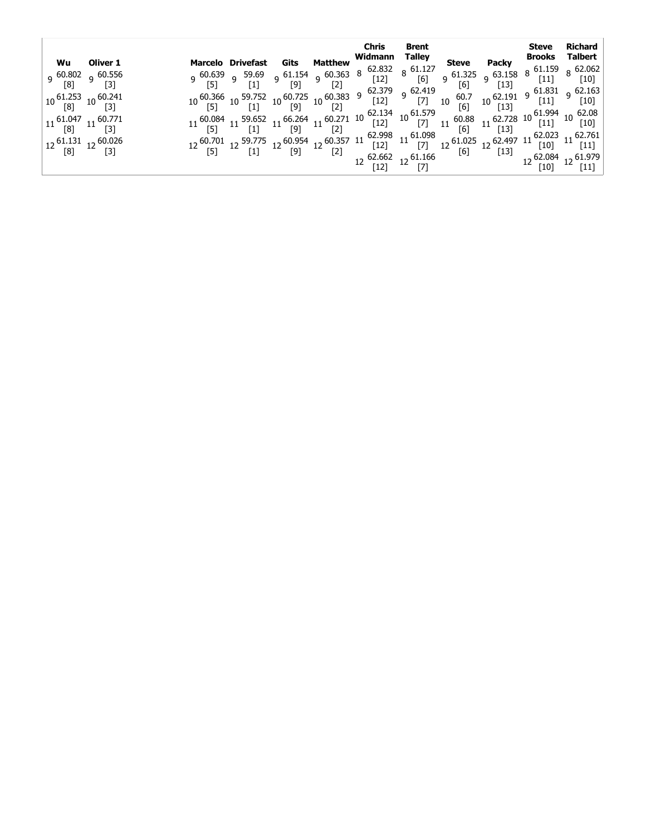|                                                                                                                                                                         | Wu Oliver 1                                                                                                                                      |  |  | Chris                                                                                                                                                                                                                                            | Brent |  | Steve                     | Richard |
|-------------------------------------------------------------------------------------------------------------------------------------------------------------------------|--------------------------------------------------------------------------------------------------------------------------------------------------|--|--|--------------------------------------------------------------------------------------------------------------------------------------------------------------------------------------------------------------------------------------------------|-------|--|---------------------------|---------|
| $10\, \frac{61.253}{[8]}$ $10\, \frac{60.241}{[3]}$<br>$11\, \begin{array}{l} 61.047\\ \text{[8]} \end{array} \, 11\, \begin{array}{l} 60.771\\ \text{[3]} \end{array}$ | 9 <sup>60.802</sup> 9 <sup>60.556</sup><br>[8] 9 [3]<br>$12\, \begin{array}{cc} 61.131 & 12\,60.026 \\ \text{[8]} & 12\, \text{[3]} \end{array}$ |  |  | <b>Marcelo Drivefast Gits Matthew Widmann Talley<br/> 9 60.639 9 59.69 9 61.154 9 60.363 8 62.832 8 61.127 8 61.132 9 63.158 8 61.159 8 62.062<br/> 10 [5] 9 [1] [9] [2] 62.39 62.419 [6] [13] 61.831 9 62.163<br/> 10 [5] 10 [13] 11 [9] 10</b> |       |  | $12^{62.084}$ 12 $61.979$ |         |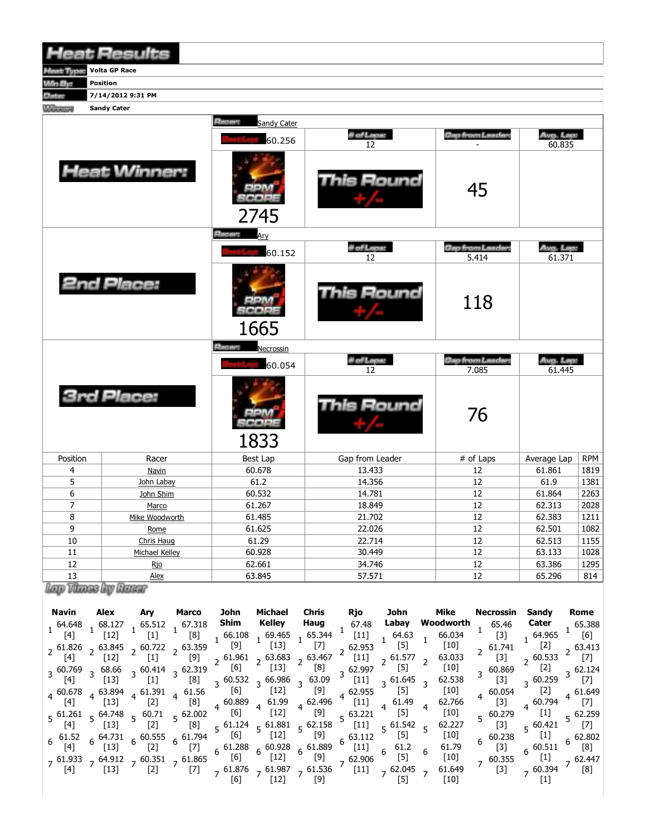|                               | <b>Heat Results</b>  |                                 |                   |                         |                     |            |
|-------------------------------|----------------------|---------------------------------|-------------------|-------------------------|---------------------|------------|
| <b>Host Type:</b>             | <b>Volta GP Race</b> |                                 |                   |                         |                     |            |
| Win By:                       | Position             |                                 |                   |                         |                     |            |
| <b>Eltimo</b>                 | 7/14/2012 9:31 PM    |                                 |                   |                         |                     |            |
| <b><i><u>COLORINA</u></i></b> | <b>Sandy Cater</b>   |                                 |                   |                         |                     |            |
|                               |                      | <b>Education</b><br>Sandy Cater |                   |                         |                     |            |
|                               |                      | 60.256                          | # of Lape:<br>12  | <b>Gap from Landar</b>  | Avg. Lep:<br>60.835 |            |
|                               | <b>Heat Winner:</b>  | 2745                            | This Round        | 45                      |                     |            |
|                               |                      | <b>Editective</b>               |                   |                         |                     |            |
|                               |                      |                                 | il of Lapus       | <b>Gap from Landar</b>  | Avg. Lega           |            |
|                               |                      | 60.152                          | 12                | 5.414                   | 61.371              |            |
|                               | 2nd Place:           | 1665                            | <b>This Round</b> | 118                     |                     |            |
|                               |                      | <b>Elising</b><br>Necrossin     |                   |                         |                     |            |
|                               |                      | 60.054                          | # of Laper        | <b>Geo from Leader:</b> | Ava. Lass           |            |
|                               |                      |                                 | 12                | 7.085                   | 61.445              |            |
|                               | <b>3rd Place:</b>    | 1833                            | is Round          | 76                      |                     |            |
| Position                      | Racer                | Best Lap                        | Gap from Leader   | # of Laps               | Average Lap         | <b>RPM</b> |
| 4                             | <b>Navin</b>         | 60.678                          | 13.433            | 12                      | 61.861              | 1819       |
| 5                             | John Labay           | 61.2                            | 14.356            | 12                      | 61.9                | 1381       |
| 6                             | John Shim            | 60.532                          | 14.781            | 12                      | 61.864              | 2263       |
| $\overline{7}$                | Marco                | 61.267                          | 18.849            | 12                      | 62.313              | 2028       |
| 8                             | Mike Woodworth       | 61.485                          | 21.702            | 12                      | 62.383              | 1211       |
| 9                             | Rome                 | 61.625                          | 22.026            | 12                      | 62.501              | 1082       |
| 10                            | Chris Haug           | 61.29                           | 22.714            | 12                      | 62.513              | 1155       |
| 11                            | Michael Kelley       | 60.928                          | 30.449            | 12                      | 63.133              | 1028       |
| 12                            | <b>Rjo</b>           | 62.661                          | 34.746            | 12                      | 63.386              | 1295       |
| 13<br>ena t                   | Alex                 | 63.845                          | 57.571            | 12                      | 65.296              | 814        |

liap Vitase by Wasar